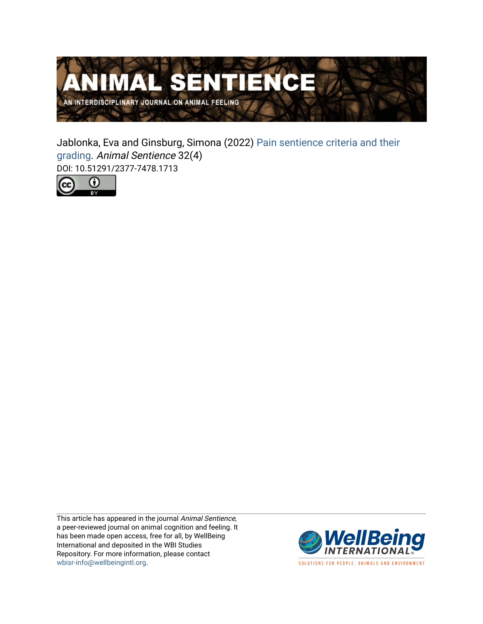

Jablonka, Eva and Ginsburg, Simona (2022) [Pain sentience criteria and their](https://www.wellbeingintlstudiesrepository.org/animsent/vol7/iss32/4) [grading](https://www.wellbeingintlstudiesrepository.org/animsent/vol7/iss32/4). Animal Sentience 32(4) DOI: 10.51291/2377-7478.1713



This article has appeared in the journal Animal Sentience, a peer-reviewed journal on animal cognition and feeling. It has been made open access, free for all, by WellBeing International and deposited in the WBI Studies Repository. For more information, please contact [wbisr-info@wellbeingintl.org](mailto:wbisr-info@wellbeingintl.org).



SOLUTIONS FOR PEOPLE, ANIMALS AND ENVIRONMENT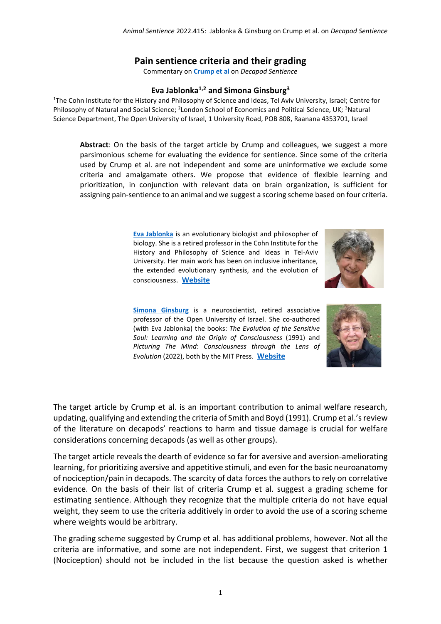## **Pain sentience criteria and their grading**

Commentary on **[Crump et al](https://www.wellbeingintlstudiesrepository.org/animsent/vol7/iss32/1)** on *Decapod Sentience*

## **Eva Jablonka1,2 and Simona Ginsburg<sup>3</sup>**

<sup>1</sup>The Cohn Institute for the History and Philosophy of Science and Ideas, Tel Aviv University, Israel; Centre for Philosophy of Natural and Social Science; <sup>2</sup>London School of Economics and Political Science, UK; <sup>3</sup>Natural Science Department, The Open University of Israel, 1 University Road, POB 808, Raanana 4353701, Israel

**Abstract**: On the basis of the target article by Crump and colleagues, we suggest a more parsimonious scheme for evaluating the evidence for sentience. Since some of the criteria used by Crump et al. are not independent and some are uninformative we exclude some criteria and amalgamate others. We propose that evidence of flexible learning and prioritization, in conjunction with relevant data on brain organization, is sufficient for assigning pain-sentience to an animal and we suggest a scoring scheme based on four criteria.

> **[Eva Jablonka](Eva%20Jablonka%20%3cjablonka@tauex.tau.ac.il%3e)** is an evolutionary biologist and philosopher of biology. She is a retired professor in the Cohn Institute for the History and Philosophy of Science and Ideas in Tel-Aviv University. Her main work has been on inclusive inheritance, the extended evolutionary synthesis, and the evolution of consciousness. **[Website](https://english.tau.ac.il/profile/jablonka)**

**[Simona Ginsburg](Simona%20Ginsburg%20%3csimona@openu.ac.il%3e)** is a neuroscientist, retired associative professor of the Open University of Israel. She co-authored (with Eva Jablonka) the books: *The Evolution of the Sensitive Soul: Learning and the Origin of Consciousness* (1991) and *Picturing The Mind*: *Consciousness through the Lens of Evolution* (2022), both by the MIT Press. **[Website](https://evolution-institute.org/profile/eva-jablonka-and-simona-ginsburg/)**





The target article by Crump et al. is an important contribution to animal welfare research, updating, qualifying and extending the criteria of Smith and Boyd (1991). Crump et al.'sreview of the literature on decapods' reactions to harm and tissue damage is crucial for welfare considerations concerning decapods (as well as other groups).

The target article reveals the dearth of evidence so far for aversive and aversion-ameliorating learning, for prioritizing aversive and appetitive stimuli, and even for the basic neuroanatomy of nociception/pain in decapods. The scarcity of data forces the authors to rely on correlative evidence. On the basis of their list of criteria Crump et al. suggest a grading scheme for estimating sentience. Although they recognize that the multiple criteria do not have equal weight, they seem to use the criteria additively in order to avoid the use of a scoring scheme where weights would be arbitrary.

The grading scheme suggested by Crump et al. has additional problems, however. Not all the criteria are informative, and some are not independent. First, we suggest that criterion 1 (Nociception) should not be included in the list because the question asked is whether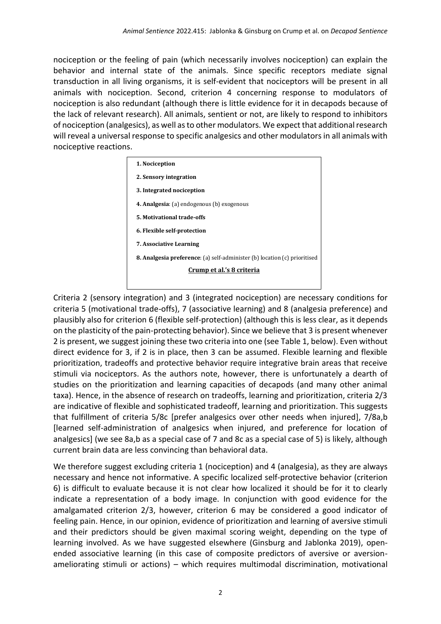nociception or the feeling of pain (which necessarily involves nociception) can explain the behavior and internal state of the animals. Since specific receptors mediate signal transduction in all living organisms, it is self-evident that nociceptors will be present in all animals with nociception. Second, criterion 4 concerning response to modulators of nociception is also redundant (although there is little evidence for it in decapods because of the lack of relevant research). All animals, sentient or not, are likely to respond to inhibitors of nociception (analgesics), as well as to other modulators. We expect that additional research will reveal a universal response to specific analgesics and other modulators in all animals with nociceptive reactions.

| 1. Nociception                                                                   |  |  |  |  |  |  |
|----------------------------------------------------------------------------------|--|--|--|--|--|--|
| 2. Sensory integration                                                           |  |  |  |  |  |  |
| 3. Integrated nociception                                                        |  |  |  |  |  |  |
| <b>4. Analgesia:</b> (a) endogenous (b) exogenous                                |  |  |  |  |  |  |
| 5. Motivational trade-offs                                                       |  |  |  |  |  |  |
| 6. Flexible self-protection                                                      |  |  |  |  |  |  |
| <b>7. Associative Learning</b>                                                   |  |  |  |  |  |  |
| <b>8. Analgesia preference:</b> (a) self-administer (b) location (c) prioritised |  |  |  |  |  |  |
| Crump et al.'s 8 criteria                                                        |  |  |  |  |  |  |
|                                                                                  |  |  |  |  |  |  |

Criteria 2 (sensory integration) and 3 (integrated nociception) are necessary conditions for criteria 5 (motivational trade-offs), 7 (associative learning) and 8 (analgesia preference) and plausibly also for criterion 6 (flexible self-protection) (although this is less clear, as it depends on the plasticity of the pain-protecting behavior). Since we believe that 3 is present whenever 2 is present, we suggest joining these two criteria into one (see Table 1, below). Even without direct evidence for 3, if 2 is in place, then 3 can be assumed. Flexible learning and flexible prioritization, tradeoffs and protective behavior require integrative brain areas that receive stimuli via nociceptors. As the authors note, however, there is unfortunately a dearth of studies on the prioritization and learning capacities of decapods (and many other animal taxa). Hence, in the absence of research on tradeoffs, learning and prioritization, criteria 2/3 are indicative of flexible and sophisticated tradeoff, learning and prioritization. This suggests that fulfillment of criteria 5/8c [prefer analgesics over other needs when injured], 7/8a,b [learned self-administration of analgesics when injured, and preference for location of analgesics] (we see 8a,b as a special case of 7 and 8c as a special case of 5) is likely, although current brain data are less convincing than behavioral data.

We therefore suggest excluding criteria 1 (nociception) and 4 (analgesia), as they are always necessary and hence not informative. A specific localized self-protective behavior (criterion 6) is difficult to evaluate because it is not clear how localized it should be for it to clearly indicate a representation of a body image. In conjunction with good evidence for the amalgamated criterion 2/3, however, criterion 6 may be considered a good indicator of feeling pain. Hence, in our opinion, evidence of prioritization and learning of aversive stimuli and their predictors should be given maximal scoring weight, depending on the type of learning involved. As we have suggested elsewhere (Ginsburg and Jablonka 2019), openended associative learning (in this case of composite predictors of aversive or aversionameliorating stimuli or actions) – which requires multimodal discrimination, motivational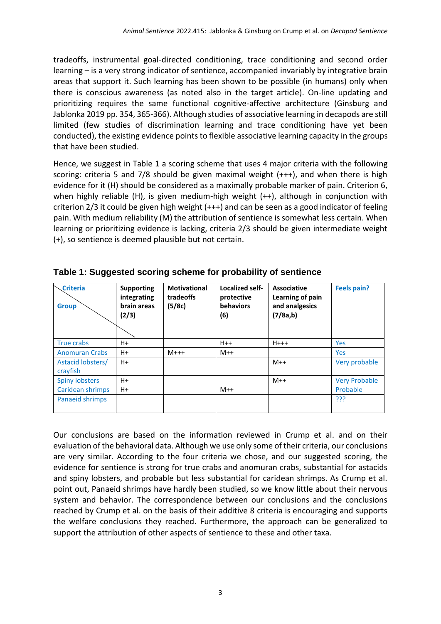tradeoffs, instrumental goal-directed conditioning, trace conditioning and second order learning – is a very strong indicator of sentience, accompanied invariably by integrative brain areas that support it. Such learning has been shown to be possible (in humans) only when there is conscious awareness (as noted also in the target article). On-line updating and prioritizing requires the same functional cognitive-affective architecture (Ginsburg and Jablonka 2019 pp. 354, 365-366). Although studies of associative learning in decapods are still limited (few studies of discrimination learning and trace conditioning have yet been conducted), the existing evidence points to flexible associative learning capacity in the groups that have been studied.

Hence, we suggest in Table 1 a scoring scheme that uses 4 major criteria with the following scoring: criteria 5 and 7/8 should be given maximal weight (+++), and when there is high evidence for it (H) should be considered as a maximally probable marker of pain. Criterion 6, when highly reliable (H), is given medium-high weight (++), although in conjunction with criterion 2/3 it could be given high weight (+++) and can be seen as a good indicator of feeling pain. With medium reliability (M) the attribution of sentience is somewhat less certain. When learning or prioritizing evidence is lacking, criteria 2/3 should be given intermediate weight (+), so sentience is deemed plausible but not certain.

| <b>Criteria</b><br><b>Group</b> | <b>Supporting</b><br>integrating<br>brain areas<br>(2/3) | <b>Motivational</b><br>tradeoffs<br>(5/8c) | Localized self-<br>protective<br><b>behaviors</b><br>(6) | <b>Associative</b><br>Learning of pain<br>and analgesics<br>(7/8a,b) | <b>Feels pain?</b>   |
|---------------------------------|----------------------------------------------------------|--------------------------------------------|----------------------------------------------------------|----------------------------------------------------------------------|----------------------|
| True crabs                      | H+                                                       |                                            | $H++$                                                    | $H+++$                                                               | <b>Yes</b>           |
| <b>Anomuran Crabs</b>           | $H+$                                                     | $M++$                                      | $M++$                                                    |                                                                      | Yes                  |
| Astacid lobsters/<br>crayfish   | $H+$                                                     |                                            |                                                          | $M++$                                                                | Very probable        |
| <b>Spiny lobsters</b>           | $H+$                                                     |                                            |                                                          | $M++$                                                                | <b>Very Probable</b> |
| Caridean shrimps                | H+                                                       |                                            | $M++$                                                    |                                                                      | Probable             |
| Panaeid shrimps                 |                                                          |                                            |                                                          |                                                                      | ???                  |

**Table 1: Suggested scoring scheme for probability of sentience**

Our conclusions are based on the information reviewed in Crump et al. and on their evaluation of the behavioral data. Although we use only some of their criteria, our conclusions are very similar. According to the four criteria we chose, and our suggested scoring, the evidence for sentience is strong for true crabs and anomuran crabs, substantial for astacids and spiny lobsters, and probable but less substantial for caridean shrimps. As Crump et al. point out, Panaeid shrimps have hardly been studied, so we know little about their nervous system and behavior. The correspondence between our conclusions and the conclusions reached by Crump et al. on the basis of their additive 8 criteria is encouraging and supports the welfare conclusions they reached. Furthermore, the approach can be generalized to support the attribution of other aspects of sentience to these and other taxa.